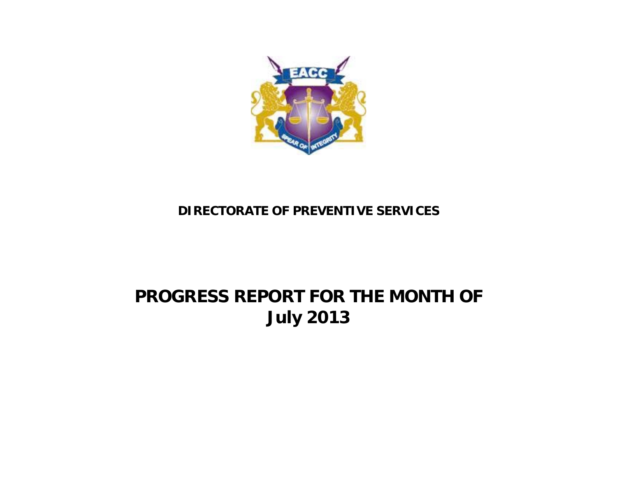

## **DIRECTORATE OF PREVENTIVE SERVICES**

## **PROGRESS REPORT FOR THE MONTH OF July 2013**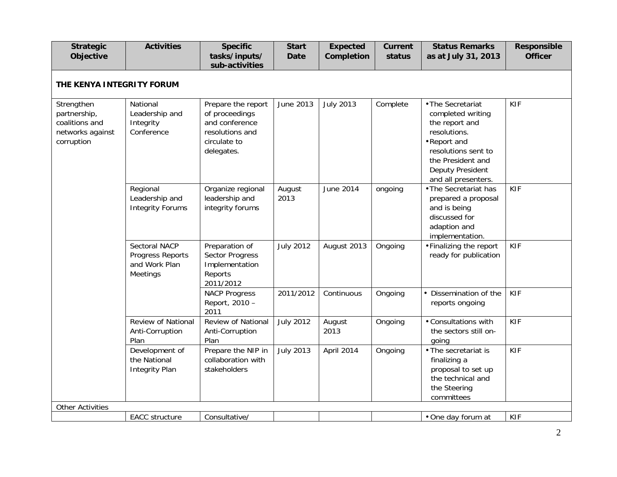| <b>Strategic</b><br>Objective                                                  | <b>Activities</b>                                              | <b>Specific</b><br>tasks/inputs/<br>sub-activities                                                      | <b>Start</b><br><b>Date</b> | <b>Expected</b><br>Completion | <b>Current</b><br>status | <b>Status Remarks</b><br>as at July 31, 2013                                                                                                                                   | <b>Responsible</b><br><b>Officer</b> |
|--------------------------------------------------------------------------------|----------------------------------------------------------------|---------------------------------------------------------------------------------------------------------|-----------------------------|-------------------------------|--------------------------|--------------------------------------------------------------------------------------------------------------------------------------------------------------------------------|--------------------------------------|
| THE KENYA INTEGRITY FORUM                                                      |                                                                |                                                                                                         |                             |                               |                          |                                                                                                                                                                                |                                      |
| Strengthen<br>partnership,<br>coalitions and<br>networks against<br>corruption | National<br>Leadership and<br>Integrity<br>Conference          | Prepare the report<br>of proceedings<br>and conference<br>resolutions and<br>circulate to<br>delegates. | June 2013                   | <b>July 2013</b>              | Complete                 | • The Secretariat<br>completed writing<br>the report and<br>resolutions.<br>•Report and<br>resolutions sent to<br>the President and<br>Deputy President<br>and all presenters. | <b>KIF</b>                           |
|                                                                                | Regional<br>Leadership and<br><b>Integrity Forums</b>          | Organize regional<br>leadership and<br>integrity forums                                                 | August<br>2013              | June 2014                     | ongoing                  | • The Secretariat has<br>prepared a proposal<br>and is being<br>discussed for<br>adaption and<br>implementation.                                                               | <b>KIF</b>                           |
|                                                                                | Sectoral NACP<br>Progress Reports<br>and Work Plan<br>Meetings | Preparation of<br><b>Sector Progress</b><br>Implementation<br>Reports<br>2011/2012                      | <b>July 2012</b>            | August 2013                   | Ongoing                  | • Finalizing the report<br>ready for publication                                                                                                                               | <b>KIF</b>                           |
|                                                                                |                                                                | <b>NACP Progress</b><br>Report, 2010 -<br>2011                                                          | 2011/2012                   | Continuous                    | Ongoing                  | • Dissemination of the<br>reports ongoing                                                                                                                                      | <b>KIF</b>                           |
|                                                                                | Review of National<br>Anti-Corruption<br>Plan                  | Review of National<br>Anti-Corruption<br>Plan                                                           | <b>July 2012</b>            | August<br>2013                | Ongoing                  | • Consultations with<br>the sectors still on-<br>qoing                                                                                                                         | <b>KIF</b>                           |
|                                                                                | Development of<br>the National<br><b>Integrity Plan</b>        | Prepare the NIP in<br>collaboration with<br>stakeholders                                                | <b>July 2013</b>            | April 2014                    | Ongoing                  | • The secretariat is<br>finalizing a<br>proposal to set up<br>the technical and<br>the Steering<br>committees                                                                  | <b>KIF</b>                           |
| <b>Other Activities</b>                                                        |                                                                |                                                                                                         |                             |                               |                          |                                                                                                                                                                                |                                      |
|                                                                                | EACC structure                                                 | Consultative/                                                                                           |                             |                               |                          | • One day forum at                                                                                                                                                             | <b>KIF</b>                           |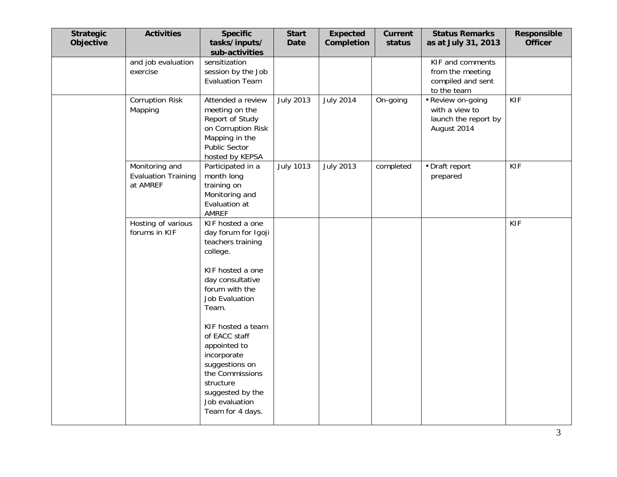| <b>Strategic</b><br>Objective | <b>Activities</b>                                        | <b>Specific</b><br>tasks/inputs/<br>sub-activities                                                                                                                                                                                                                                                                                                    | <b>Start</b><br><b>Date</b> | <b>Expected</b><br>Completion | Current<br>status | <b>Status Remarks</b><br>as at July 31, 2013                               | Responsible<br><b>Officer</b> |
|-------------------------------|----------------------------------------------------------|-------------------------------------------------------------------------------------------------------------------------------------------------------------------------------------------------------------------------------------------------------------------------------------------------------------------------------------------------------|-----------------------------|-------------------------------|-------------------|----------------------------------------------------------------------------|-------------------------------|
|                               | and job evaluation<br>exercise                           | sensitization<br>session by the Job<br><b>Evaluation Team</b>                                                                                                                                                                                                                                                                                         |                             |                               |                   | KIF and comments<br>from the meeting<br>compiled and sent<br>to the team   |                               |
|                               | <b>Corruption Risk</b><br>Mapping                        | Attended a review<br>meeting on the<br>Report of Study<br>on Corruption Risk<br>Mapping in the<br>Public Sector<br>hosted by KEPSA                                                                                                                                                                                                                    | <b>July 2013</b>            | <b>July 2014</b>              | On-going          | • Review on-going<br>with a view to<br>launch the report by<br>August 2014 | KIF                           |
|                               | Monitoring and<br><b>Evaluation Training</b><br>at AMREF | Participated in a<br>month long<br>training on<br>Monitoring and<br>Evaluation at<br>AMREF                                                                                                                                                                                                                                                            | <b>July 1013</b>            | <b>July 2013</b>              | completed         | • Draft report<br>prepared                                                 | <b>KIF</b>                    |
|                               | Hosting of various<br>forums in KIF                      | KIF hosted a one<br>day forum for Igoji<br>teachers training<br>college.<br>KIF hosted a one<br>day consultative<br>forum with the<br><b>Job Evaluation</b><br>Team.<br>KIF hosted a team<br>of EACC staff<br>appointed to<br>incorporate<br>suggestions on<br>the Commissions<br>structure<br>suggested by the<br>Job evaluation<br>Team for 4 days. |                             |                               |                   |                                                                            | <b>KIF</b>                    |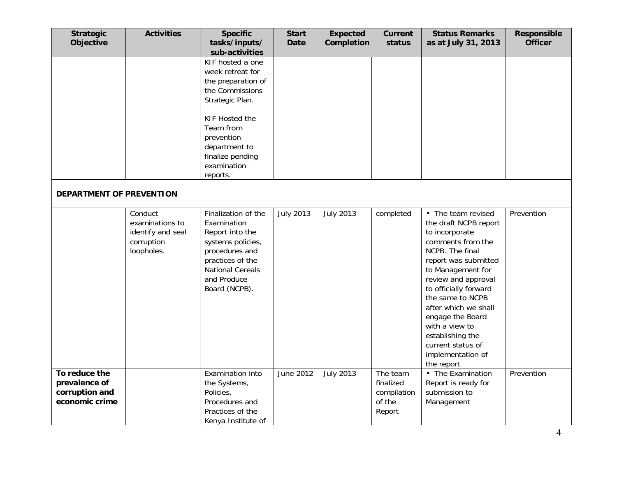| <b>Strategic</b><br>Objective                                      | <b>Activities</b>                                                           | <b>Specific</b><br>tasks/inputs/<br>sub-activities                                                                                                                                                            | <b>Start</b><br><b>Date</b> | <b>Expected</b><br>Completion | <b>Current</b><br>status                                 | <b>Status Remarks</b><br>as at July 31, 2013                                                                                                                                                                                                                                                                                                                     | <b>Responsible</b><br><b>Officer</b> |
|--------------------------------------------------------------------|-----------------------------------------------------------------------------|---------------------------------------------------------------------------------------------------------------------------------------------------------------------------------------------------------------|-----------------------------|-------------------------------|----------------------------------------------------------|------------------------------------------------------------------------------------------------------------------------------------------------------------------------------------------------------------------------------------------------------------------------------------------------------------------------------------------------------------------|--------------------------------------|
|                                                                    |                                                                             | KIF hosted a one<br>week retreat for<br>the preparation of<br>the Commissions<br>Strategic Plan.<br>KIF Hosted the<br>Team from<br>prevention<br>department to<br>finalize pending<br>examination<br>reports. |                             |                               |                                                          |                                                                                                                                                                                                                                                                                                                                                                  |                                      |
| DEPARTMENT OF PREVENTION                                           |                                                                             |                                                                                                                                                                                                               |                             |                               |                                                          |                                                                                                                                                                                                                                                                                                                                                                  |                                      |
|                                                                    | Conduct<br>examinations to<br>identify and seal<br>corruption<br>loopholes. | Finalization of the<br>Examination<br>Report into the<br>systems policies,<br>procedures and<br>practices of the<br><b>National Cereals</b><br>and Produce<br>Board (NCPB).                                   | <b>July 2013</b>            | <b>July 2013</b>              | completed                                                | • The team revised<br>the draft NCPB report<br>to incorporate<br>comments from the<br>NCPB. The final<br>report was submitted<br>to Management for<br>review and approval<br>to officially forward<br>the same to NCPB<br>after which we shall<br>engage the Board<br>with a view to<br>establishing the<br>current status of<br>implementation of<br>the report | Prevention                           |
| To reduce the<br>prevalence of<br>corruption and<br>economic crime |                                                                             | Examination into<br>the Systems,<br>Policies,<br>Procedures and<br>Practices of the<br>Kenya Institute of                                                                                                     | June 2012                   | <b>July 2013</b>              | The team<br>finalized<br>compilation<br>of the<br>Report | • The Examination<br>Report is ready for<br>submission to<br>Management                                                                                                                                                                                                                                                                                          | Prevention                           |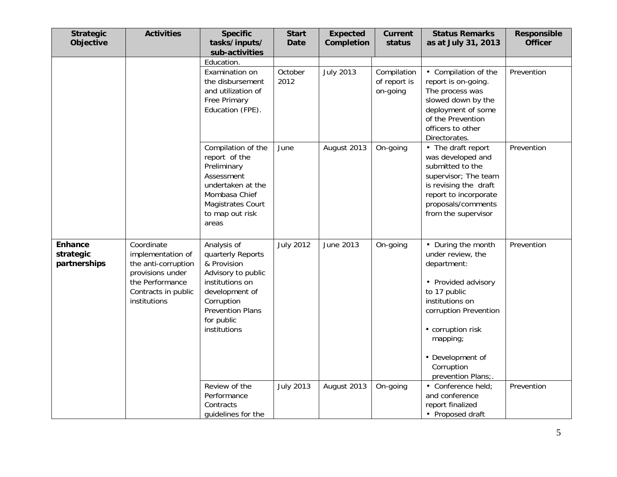| <b>Strategic</b><br>Objective               | <b>Activities</b>                                                                                                                    | <b>Specific</b><br>tasks/inputs/<br>sub-activities                                                                                                                                | <b>Start</b><br><b>Date</b> | <b>Expected</b><br>Completion | <b>Current</b><br>status                | <b>Status Remarks</b><br>as at July 31, 2013                                                                                                                                                                                       | Responsible<br><b>Officer</b> |
|---------------------------------------------|--------------------------------------------------------------------------------------------------------------------------------------|-----------------------------------------------------------------------------------------------------------------------------------------------------------------------------------|-----------------------------|-------------------------------|-----------------------------------------|------------------------------------------------------------------------------------------------------------------------------------------------------------------------------------------------------------------------------------|-------------------------------|
|                                             |                                                                                                                                      | Education.<br>Examination on<br>the disbursement<br>and utilization of<br>Free Primary<br>Education (FPE).                                                                        | October<br>2012             | <b>July 2013</b>              | Compilation<br>of report is<br>on-going | • Compilation of the<br>report is on-going.<br>The process was<br>slowed down by the<br>deployment of some<br>of the Prevention<br>officers to other<br>Directorates.                                                              | Prevention                    |
|                                             |                                                                                                                                      | Compilation of the<br>report of the<br>Preliminary<br>Assessment<br>undertaken at the<br>Mombasa Chief<br>Magistrates Court<br>to map out risk<br>areas                           | June                        | August 2013                   | On-going                                | • The draft report<br>was developed and<br>submitted to the<br>supervisor; The team<br>is revising the draft<br>report to incorporate<br>proposals/comments<br>from the supervisor                                                 | Prevention                    |
| <b>Enhance</b><br>strategic<br>partnerships | Coordinate<br>implementation of<br>the anti-corruption<br>provisions under<br>the Performance<br>Contracts in public<br>institutions | Analysis of<br>quarterly Reports<br>& Provision<br>Advisory to public<br>institutions on<br>development of<br>Corruption<br><b>Prevention Plans</b><br>for public<br>institutions | <b>July 2012</b>            | June 2013                     | On-going                                | • During the month<br>under review, the<br>department:<br>• Provided advisory<br>to 17 public<br>institutions on<br>corruption Prevention<br>• corruption risk<br>mapping;<br>• Development of<br>Corruption<br>prevention Plans;. | Prevention                    |
|                                             |                                                                                                                                      | Review of the<br>Performance<br>Contracts<br>guidelines for the                                                                                                                   | <b>July 2013</b>            | August 2013                   | On-going                                | • Conference held;<br>and conference<br>report finalized<br>• Proposed draft                                                                                                                                                       | Prevention                    |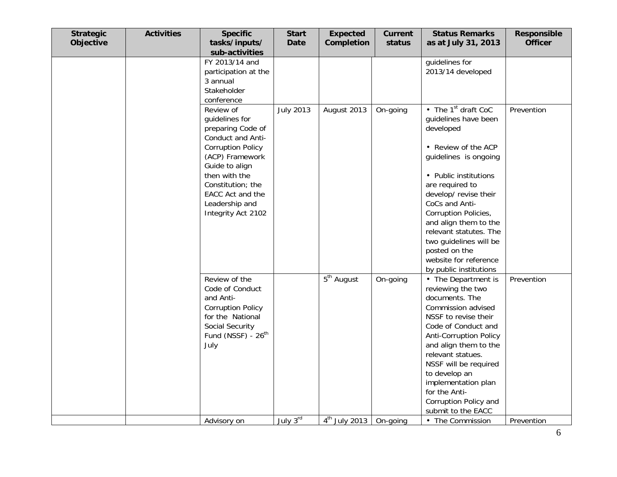| <b>Strategic</b><br>Objective | <b>Activities</b> | <b>Specific</b><br>tasks/inputs/<br>sub-activities                                                                                                                                                                                       | <b>Start</b><br><b>Date</b> | <b>Expected</b><br>Completion | <b>Current</b><br>status | <b>Status Remarks</b><br>as at July 31, 2013                                                                                                                                                                                                                                                                                                                                                           | Responsible<br><b>Officer</b> |
|-------------------------------|-------------------|------------------------------------------------------------------------------------------------------------------------------------------------------------------------------------------------------------------------------------------|-----------------------------|-------------------------------|--------------------------|--------------------------------------------------------------------------------------------------------------------------------------------------------------------------------------------------------------------------------------------------------------------------------------------------------------------------------------------------------------------------------------------------------|-------------------------------|
|                               |                   | FY 2013/14 and<br>participation at the<br>3 annual<br>Stakeholder<br>conference                                                                                                                                                          |                             |                               |                          | guidelines for<br>2013/14 developed                                                                                                                                                                                                                                                                                                                                                                    |                               |
|                               |                   | Review of<br>guidelines for<br>preparing Code of<br>Conduct and Anti-<br><b>Corruption Policy</b><br>(ACP) Framework<br>Guide to align<br>then with the<br>Constitution; the<br>EACC Act and the<br>Leadership and<br>Integrity Act 2102 | <b>July 2013</b>            | August 2013                   | On-going                 | $\overline{\bullet}$ The 1 <sup>st</sup> draft CoC<br>guidelines have been<br>developed<br>• Review of the ACP<br>guidelines is ongoing<br>• Public institutions<br>are required to<br>develop/revise their<br>CoCs and Anti-<br>Corruption Policies,<br>and align them to the<br>relevant statutes. The<br>two guidelines will be<br>posted on the<br>website for reference<br>by public institutions | Prevention                    |
|                               |                   | Review of the<br>Code of Conduct<br>and Anti-<br><b>Corruption Policy</b><br>for the National<br>Social Security<br>Fund (NSSF) - 26 <sup>th</sup><br>July                                                                               |                             | $5th$ August                  | On-going                 | • The Department is<br>reviewing the two<br>documents. The<br>Commission advised<br>NSSF to revise their<br>Code of Conduct and<br><b>Anti-Corruption Policy</b><br>and align them to the<br>relevant statues.<br>NSSF will be required<br>to develop an<br>implementation plan<br>for the Anti-<br>Corruption Policy and<br>submit to the EACC                                                        | Prevention                    |
|                               |                   | Advisory on                                                                                                                                                                                                                              | July 3rd                    | $4th$ July 2013               | On-going                 | • The Commission                                                                                                                                                                                                                                                                                                                                                                                       | Prevention                    |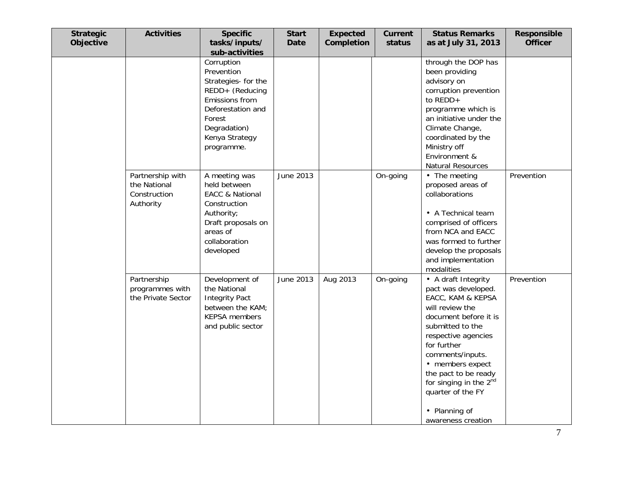| <b>Strategic</b><br>Objective | <b>Activities</b>                                             | <b>Specific</b><br>tasks/inputs/                                                                                                                                    | <b>Start</b><br><b>Date</b> | <b>Expected</b><br>Completion | <b>Current</b><br>status | <b>Status Remarks</b><br>as at July 31, 2013                                                                                                                                                                                                                                                                                            | Responsible<br><b>Officer</b> |
|-------------------------------|---------------------------------------------------------------|---------------------------------------------------------------------------------------------------------------------------------------------------------------------|-----------------------------|-------------------------------|--------------------------|-----------------------------------------------------------------------------------------------------------------------------------------------------------------------------------------------------------------------------------------------------------------------------------------------------------------------------------------|-------------------------------|
|                               |                                                               | sub-activities                                                                                                                                                      |                             |                               |                          |                                                                                                                                                                                                                                                                                                                                         |                               |
|                               |                                                               | Corruption<br>Prevention<br>Strategies- for the<br>REDD+ (Reducing<br>Emissions from<br>Deforestation and<br>Forest<br>Degradation)<br>Kenya Strategy<br>programme. |                             |                               |                          | through the DOP has<br>been providing<br>advisory on<br>corruption prevention<br>to $REDD +$<br>programme which is<br>an initiative under the<br>Climate Change,<br>coordinated by the<br>Ministry off<br>Environment &<br><b>Natural Resources</b>                                                                                     |                               |
|                               | Partnership with<br>the National<br>Construction<br>Authority | A meeting was<br>held between<br><b>EACC &amp; National</b><br>Construction<br>Authority;<br>Draft proposals on<br>areas of<br>collaboration<br>developed           | June 2013                   |                               | On-going                 | • The meeting<br>proposed areas of<br>collaborations<br>• A Technical team<br>comprised of officers<br>from NCA and EACC<br>was formed to further<br>develop the proposals<br>and implementation<br>modalities                                                                                                                          | Prevention                    |
|                               | Partnership<br>programmes with<br>the Private Sector          | Development of<br>the National<br><b>Integrity Pact</b><br>between the KAM;<br><b>KEPSA</b> members<br>and public sector                                            | June 2013                   | Aug 2013                      | On-going                 | • A draft Integrity<br>pact was developed.<br>EACC, KAM & KEPSA<br>will review the<br>document before it is<br>submitted to the<br>respective agencies<br>for further<br>comments/inputs.<br>• members expect<br>the pact to be ready<br>for singing in the 2 <sup>nd</sup><br>quarter of the FY<br>• Planning of<br>awareness creation | Prevention                    |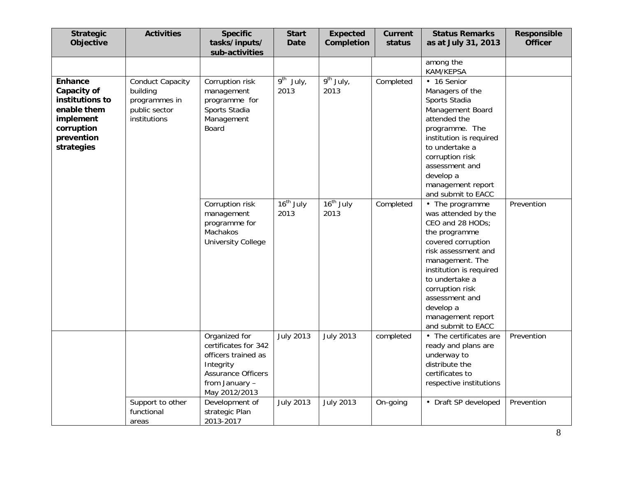| <b>Strategic</b><br>Objective                                                                                          | <b>Activities</b>                                                                     | <b>Specific</b><br>tasks/inputs/<br>sub-activities                                                                                        | <b>Start</b><br><b>Date</b>       | <b>Expected</b><br>Completion | <b>Current</b><br>status | <b>Status Remarks</b><br>as at July 31, 2013                                                                                                                                                                                                                                          | <b>Responsible</b><br><b>Officer</b> |
|------------------------------------------------------------------------------------------------------------------------|---------------------------------------------------------------------------------------|-------------------------------------------------------------------------------------------------------------------------------------------|-----------------------------------|-------------------------------|--------------------------|---------------------------------------------------------------------------------------------------------------------------------------------------------------------------------------------------------------------------------------------------------------------------------------|--------------------------------------|
|                                                                                                                        |                                                                                       |                                                                                                                                           |                                   |                               |                          | among the<br>KAM/KEPSA                                                                                                                                                                                                                                                                |                                      |
| <b>Enhance</b><br>Capacity of<br>institutions to<br>enable them<br>implement<br>corruption<br>prevention<br>strategies | <b>Conduct Capacity</b><br>building<br>programmes in<br>public sector<br>institutions | Corruption risk<br>management<br>programme for<br>Sports Stadia<br>Management<br>Board                                                    | $\overline{9^{th}}$ July,<br>2013 | $9th$ July,<br>2013           | Completed                | • 16 Senior<br>Managers of the<br>Sports Stadia<br>Management Board<br>attended the<br>programme. The<br>institution is required<br>to undertake a<br>corruption risk<br>assessment and<br>develop a<br>management report<br>and submit to EACC                                       |                                      |
|                                                                                                                        |                                                                                       | Corruption risk<br>management<br>programme for<br>Machakos<br><b>University College</b>                                                   | 16 <sup>th</sup> July<br>2013     | $16th$ July<br>2013           | Completed                | • The programme<br>was attended by the<br>CEO and 28 HODs;<br>the programme<br>covered corruption<br>risk assessment and<br>management. The<br>institution is required<br>to undertake a<br>corruption risk<br>assessment and<br>develop a<br>management report<br>and submit to EACC | Prevention                           |
|                                                                                                                        |                                                                                       | Organized for<br>certificates for 342<br>officers trained as<br>Integrity<br><b>Assurance Officers</b><br>from January -<br>May 2012/2013 | <b>July 2013</b>                  | <b>July 2013</b>              | completed                | • The certificates are<br>ready and plans are<br>underway to<br>distribute the<br>certificates to<br>respective institutions                                                                                                                                                          | Prevention                           |
|                                                                                                                        | Support to other<br>functional<br>areas                                               | Development of<br>strategic Plan<br>2013-2017                                                                                             | <b>July 2013</b>                  | <b>July 2013</b>              | On-going                 | • Draft SP developed                                                                                                                                                                                                                                                                  | Prevention                           |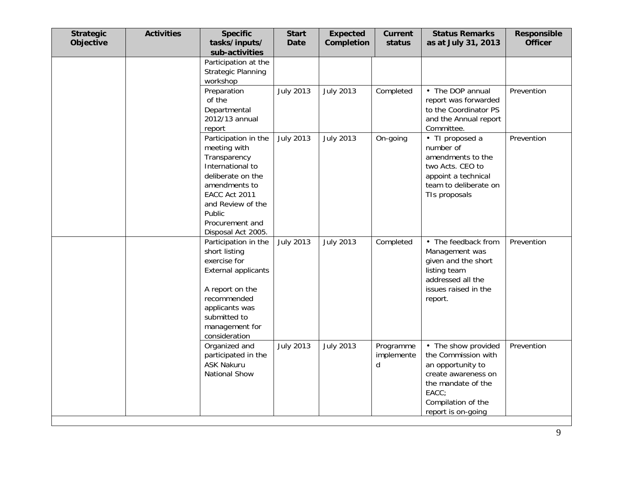| <b>Strategic</b><br>Objective | <b>Activities</b> | <b>Specific</b><br>tasks/inputs/<br>sub-activities                                                                                                                                                      | <b>Start</b><br><b>Date</b> | <b>Expected</b><br>Completion | <b>Current</b><br>status     | <b>Status Remarks</b><br>as at July 31, 2013                                                                                                                      | Responsible<br><b>Officer</b> |
|-------------------------------|-------------------|---------------------------------------------------------------------------------------------------------------------------------------------------------------------------------------------------------|-----------------------------|-------------------------------|------------------------------|-------------------------------------------------------------------------------------------------------------------------------------------------------------------|-------------------------------|
|                               |                   | Participation at the<br><b>Strategic Planning</b><br>workshop                                                                                                                                           |                             |                               |                              |                                                                                                                                                                   |                               |
|                               |                   | Preparation<br>of the<br>Departmental<br>2012/13 annual<br>report                                                                                                                                       | <b>July 2013</b>            | <b>July 2013</b>              | Completed                    | • The DOP annual<br>report was forwarded<br>to the Coordinator PS<br>and the Annual report<br>Committee.                                                          | Prevention                    |
|                               |                   | Participation in the<br>meeting with<br>Transparency<br>International to<br>deliberate on the<br>amendments to<br>EACC Act 2011<br>and Review of the<br>Public<br>Procurement and<br>Disposal Act 2005. | <b>July 2013</b>            | <b>July 2013</b>              | On-going                     | • TI proposed a<br>number of<br>amendments to the<br>two Acts. CEO to<br>appoint a technical<br>team to deliberate on<br>TIs proposals                            | Prevention                    |
|                               |                   | Participation in the<br>short listing<br>exercise for<br><b>External applicants</b><br>A report on the<br>recommended<br>applicants was<br>submitted to<br>management for<br>consideration              | <b>July 2013</b>            | <b>July 2013</b>              | Completed                    | • The feedback from<br>Management was<br>given and the short<br>listing team<br>addressed all the<br>issues raised in the<br>report.                              | Prevention                    |
|                               |                   | Organized and<br>participated in the<br><b>ASK Nakuru</b><br>National Show                                                                                                                              | <b>July 2013</b>            | <b>July 2013</b>              | Programme<br>implemente<br>d | • The show provided<br>the Commission with<br>an opportunity to<br>create awareness on<br>the mandate of the<br>EACC;<br>Compilation of the<br>report is on-going | Prevention                    |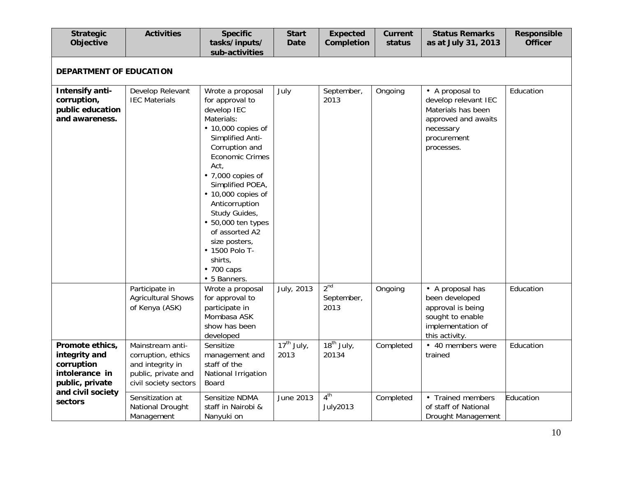| <b>Strategic</b><br>Objective                                                                            | <b>Activities</b>                                                                                          | <b>Specific</b><br>tasks/inputs/<br>sub-activities                                                                                                                                                                                                                                                                                                                                                                 | <b>Start</b><br><b>Date</b>        | <b>Expected</b><br>Completion         | <b>Current</b><br>status | <b>Status Remarks</b><br>as at July 31, 2013                                                                                   | Responsible<br><b>Officer</b> |
|----------------------------------------------------------------------------------------------------------|------------------------------------------------------------------------------------------------------------|--------------------------------------------------------------------------------------------------------------------------------------------------------------------------------------------------------------------------------------------------------------------------------------------------------------------------------------------------------------------------------------------------------------------|------------------------------------|---------------------------------------|--------------------------|--------------------------------------------------------------------------------------------------------------------------------|-------------------------------|
| DEPARTMENT OF EDUCATION                                                                                  |                                                                                                            |                                                                                                                                                                                                                                                                                                                                                                                                                    |                                    |                                       |                          |                                                                                                                                |                               |
| Intensify anti-<br>corruption,<br>public education<br>and awareness.                                     | Develop Relevant<br><b>IEC Materials</b>                                                                   | Wrote a proposal<br>for approval to<br>develop IEC<br>Materials:<br>$\cdot$ 10,000 copies of<br>Simplified Anti-<br>Corruption and<br><b>Economic Crimes</b><br>Act,<br>$\cdot$ 7,000 copies of<br>Simplified POEA,<br>$\cdot$ 10,000 copies of<br>Anticorruption<br>Study Guides,<br>$\cdot$ 50,000 ten types<br>of assorted A2<br>size posters,<br>• 1500 Polo T-<br>shirts,<br>$\cdot$ 700 caps<br>• 5 Banners. | July                               | September,<br>2013                    | Ongoing                  | • A proposal to<br>develop relevant IEC<br>Materials has been<br>approved and awaits<br>necessary<br>procurement<br>processes. | Education                     |
|                                                                                                          | Participate in<br><b>Agricultural Shows</b><br>of Kenya (ASK)                                              | Wrote a proposal<br>for approval to<br>participate in<br>Mombasa ASK<br>show has been<br>developed                                                                                                                                                                                                                                                                                                                 | July, 2013                         | 2 <sup>nd</sup><br>September,<br>2013 | Ongoing                  | • A proposal has<br>been developed<br>approval is being<br>sought to enable<br>implementation of<br>this activity.             | Education                     |
| Promote ethics,<br>integrity and<br>corruption<br>intolerance in<br>public, private<br>and civil society | Mainstream anti-<br>corruption, ethics<br>and integrity in<br>public, private and<br>civil society sectors | Sensitize<br>management and<br>staff of the<br>National Irrigation<br>Board                                                                                                                                                                                                                                                                                                                                        | $\overline{17^{th}}$ July,<br>2013 | $18^{th}$ July,<br>20134              | Completed                | • 40 members were<br>trained                                                                                                   | Education                     |
| sectors                                                                                                  | Sensitization at<br>National Drought<br>Management                                                         | Sensitize NDMA<br>staff in Nairobi &<br>Nanyuki on                                                                                                                                                                                                                                                                                                                                                                 | June 2013                          | 4 <sup>th</sup><br><b>July2013</b>    | Completed                | • Trained members<br>of staff of National<br>Drought Management                                                                | Education                     |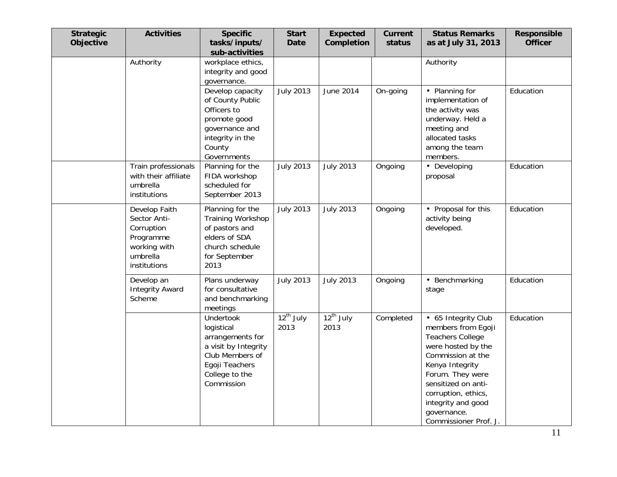| <b>Strategic</b><br>Objective | <b>Activities</b>                                                                                    | <b>Specific</b><br>tasks/inputs/<br>sub-activities                                                                                       | <b>Start</b><br><b>Date</b> | <b>Expected</b><br>Completion | <b>Current</b><br>status | <b>Status Remarks</b><br>as at July 31, 2013                                                                                                                                                                                                                       | Responsible<br><b>Officer</b> |
|-------------------------------|------------------------------------------------------------------------------------------------------|------------------------------------------------------------------------------------------------------------------------------------------|-----------------------------|-------------------------------|--------------------------|--------------------------------------------------------------------------------------------------------------------------------------------------------------------------------------------------------------------------------------------------------------------|-------------------------------|
|                               | Authority                                                                                            | workplace ethics,<br>integrity and good<br>governance.                                                                                   |                             |                               |                          | Authority                                                                                                                                                                                                                                                          |                               |
|                               |                                                                                                      | Develop capacity<br>of County Public<br>Officers to<br>promote good<br>governance and<br>integrity in the<br>County<br>Governments       | <b>July 2013</b>            | June 2014                     | On-going                 | • Planning for<br>implementation of<br>the activity was<br>underway. Held a<br>meeting and<br>allocated tasks<br>among the team<br>members.                                                                                                                        | Education                     |
|                               | Train professionals<br>with their affiliate<br>umbrella<br>institutions                              | Planning for the<br>FIDA workshop<br>scheduled for<br>September 2013                                                                     | <b>July 2013</b>            | <b>July 2013</b>              | Ongoing                  | • Developing<br>proposal                                                                                                                                                                                                                                           | Education                     |
|                               | Develop Faith<br>Sector Anti-<br>Corruption<br>Programme<br>working with<br>umbrella<br>institutions | Planning for the<br><b>Training Workshop</b><br>of pastors and<br>elders of SDA<br>church schedule<br>for September<br>2013              | <b>July 2013</b>            | <b>July 2013</b>              | Ongoing                  | • Proposal for this<br>activity being<br>developed.                                                                                                                                                                                                                | Education                     |
|                               | Develop an<br><b>Integrity Award</b><br>Scheme                                                       | Plans underway<br>for consultative<br>and benchmarking<br>meetings                                                                       | <b>July 2013</b>            | <b>July 2013</b>              | Ongoing                  | • Benchmarking<br>stage                                                                                                                                                                                                                                            | Education                     |
|                               |                                                                                                      | Undertook<br>logistical<br>arrangements for<br>a visit by Integrity<br>Club Members of<br>Egoji Teachers<br>College to the<br>Commission | $12^{th}$ July<br>2013      | $12^{th}$ July<br>2013        | Completed                | • 65 Integrity Club<br>members from Egoji<br><b>Teachers College</b><br>were hosted by the<br>Commission at the<br>Kenya Integrity<br>Forum. They were<br>sensitized on anti-<br>corruption, ethics,<br>integrity and good<br>governance.<br>Commissioner Prof. J. | Education                     |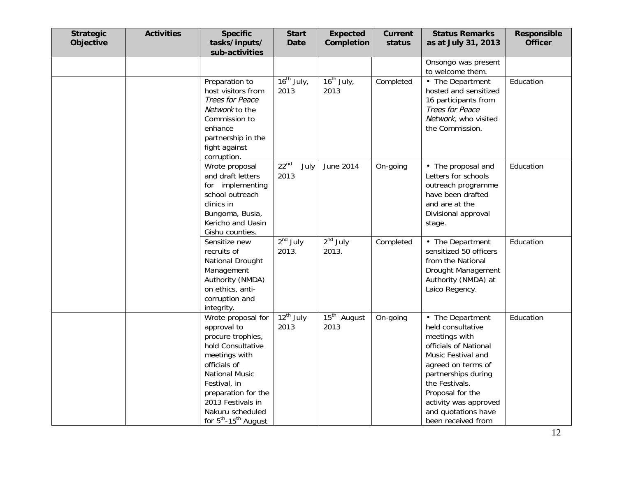| <b>Strategic</b><br><b>Objective</b> | <b>Activities</b> | <b>Specific</b><br>tasks/inputs/<br>sub-activities                                                                                                                                                                                                             | <b>Start</b><br><b>Date</b> | <b>Expected</b><br>Completion | <b>Current</b><br>status | <b>Status Remarks</b><br>as at July 31, 2013                                                                                                                                                                                                                   | Responsible<br><b>Officer</b> |
|--------------------------------------|-------------------|----------------------------------------------------------------------------------------------------------------------------------------------------------------------------------------------------------------------------------------------------------------|-----------------------------|-------------------------------|--------------------------|----------------------------------------------------------------------------------------------------------------------------------------------------------------------------------------------------------------------------------------------------------------|-------------------------------|
|                                      |                   |                                                                                                                                                                                                                                                                |                             |                               |                          | Onsongo was present<br>to welcome them.                                                                                                                                                                                                                        |                               |
|                                      |                   | Preparation to<br>host visitors from<br>Trees for Peace<br>Network to the<br>Commission to<br>enhance<br>partnership in the<br>fight against<br>corruption.                                                                                                    | $16^{th}$ July,<br>2013     | $16^{th}$ July,<br>2013       | Completed                | • The Department<br>hosted and sensitized<br>16 participants from<br>Trees for Peace<br>Network, who visited<br>the Commission.                                                                                                                                | Education                     |
|                                      |                   | Wrote proposal<br>and draft letters<br>for implementing<br>school outreach<br>clinics in<br>Bungoma, Busia,<br>Kericho and Uasin<br>Gishu counties.                                                                                                            | $22^{nd}$<br>July<br>2013   | June 2014                     | On-going                 | • The proposal and<br>Letters for schools<br>outreach programme<br>have been drafted<br>and are at the<br>Divisional approval<br>stage.                                                                                                                        | Education                     |
|                                      |                   | Sensitize new<br>recruits of<br>National Drought<br>Management<br>Authority (NMDA)<br>on ethics, anti-<br>corruption and<br>integrity.                                                                                                                         | $2nd$ July<br>2013.         | $2nd$ July<br>2013.           | Completed                | • The Department<br>sensitized 50 officers<br>from the National<br>Drought Management<br>Authority (NMDA) at<br>Laico Regency.                                                                                                                                 | Education                     |
|                                      |                   | Wrote proposal for<br>approval to<br>procure trophies,<br>hold Consultative<br>meetings with<br>officials of<br><b>National Music</b><br>Festival, in<br>preparation for the<br>2013 Festivals in<br>Nakuru scheduled<br>for $5^{th}$ -15 <sup>th</sup> August | $12^{th}$ July<br>2013      | $15th$ August<br>2013         | On-going                 | • The Department<br>held consultative<br>meetings with<br>officials of National<br>Music Festival and<br>agreed on terms of<br>partnerships during<br>the Festivals.<br>Proposal for the<br>activity was approved<br>and quotations have<br>been received from | Education                     |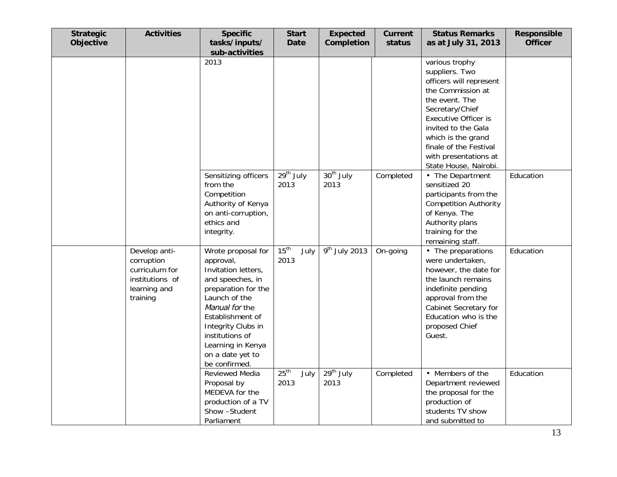| <b>Strategic</b><br>Objective | <b>Activities</b>                                                                            | <b>Specific</b><br>tasks/inputs/<br>sub-activities                                                                                                                                                                                                          | <b>Start</b><br><b>Date</b>      | <b>Expected</b><br>Completion | <b>Current</b><br>status | <b>Status Remarks</b><br>as at July 31, 2013                                                                                                                                                                                                                                  | <b>Responsible</b><br><b>Officer</b> |
|-------------------------------|----------------------------------------------------------------------------------------------|-------------------------------------------------------------------------------------------------------------------------------------------------------------------------------------------------------------------------------------------------------------|----------------------------------|-------------------------------|--------------------------|-------------------------------------------------------------------------------------------------------------------------------------------------------------------------------------------------------------------------------------------------------------------------------|--------------------------------------|
|                               |                                                                                              | 2013                                                                                                                                                                                                                                                        |                                  |                               |                          | various trophy<br>suppliers. Two<br>officers will represent<br>the Commission at<br>the event. The<br>Secretary/Chief<br><b>Executive Officer is</b><br>invited to the Gala<br>which is the grand<br>finale of the Festival<br>with presentations at<br>State House, Nairobi. |                                      |
|                               |                                                                                              | Sensitizing officers<br>from the<br>Competition<br>Authority of Kenya<br>on anti-corruption,<br>ethics and<br>integrity.                                                                                                                                    | 29 <sup>th</sup> July<br>2013    | 30 <sup>th</sup> July<br>2013 | Completed                | • The Department<br>sensitized 20<br>participants from the<br><b>Competition Authority</b><br>of Kenya. The<br>Authority plans<br>training for the<br>remaining staff.                                                                                                        | Education                            |
|                               | Develop anti-<br>corruption<br>curriculum for<br>institutions of<br>learning and<br>training | Wrote proposal for<br>approval,<br>Invitation letters,<br>and speeches, in<br>preparation for the<br>Launch of the<br>Manual for the<br>Establishment of<br>Integrity Clubs in<br>institutions of<br>Learning in Kenya<br>on a date yet to<br>be confirmed. | 15 <sup>th</sup><br>July<br>2013 | $\frac{9^{th}}{3}$ July 2013  | On-going                 | • The preparations<br>were undertaken,<br>however, the date for<br>the launch remains<br>indefinite pending<br>approval from the<br>Cabinet Secretary for<br>Education who is the<br>proposed Chief<br>Guest.                                                                 | Education                            |
|                               |                                                                                              | Reviewed Media<br>Proposal by<br>MEDEVA for the<br>production of a TV<br>Show -Student<br>Parliament                                                                                                                                                        | 25 <sup>th</sup><br>July<br>2013 | $29th$ July<br>2013           | Completed                | • Members of the<br>Department reviewed<br>the proposal for the<br>production of<br>students TV show<br>and submitted to                                                                                                                                                      | Education                            |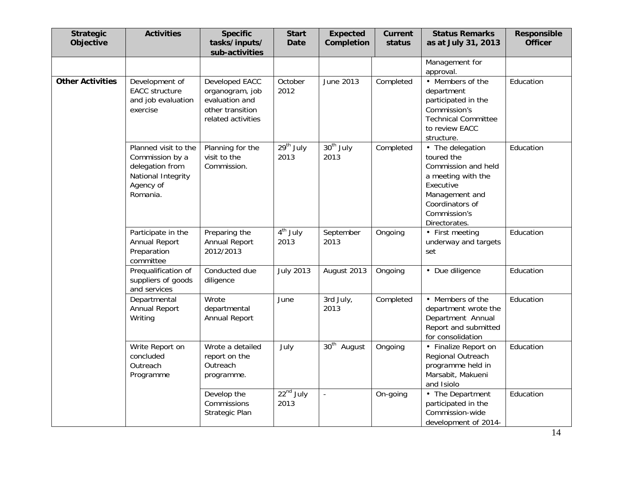| <b>Strategic</b><br>Objective | <b>Activities</b>                                                                                         | <b>Specific</b><br>tasks/inputs/<br>sub-activities                                            | <b>Start</b><br><b>Date</b> | <b>Expected</b><br>Completion | <b>Current</b><br>status | <b>Status Remarks</b><br>as at July 31, 2013                                                                                                                   | Responsible<br><b>Officer</b> |
|-------------------------------|-----------------------------------------------------------------------------------------------------------|-----------------------------------------------------------------------------------------------|-----------------------------|-------------------------------|--------------------------|----------------------------------------------------------------------------------------------------------------------------------------------------------------|-------------------------------|
|                               |                                                                                                           |                                                                                               |                             |                               |                          | Management for<br>approval.                                                                                                                                    |                               |
| <b>Other Activities</b>       | Development of<br><b>EACC</b> structure<br>and job evaluation<br>exercise                                 | Developed EACC<br>organogram, job<br>evaluation and<br>other transition<br>related activities | October<br>2012             | June 2013                     | Completed                | • Members of the<br>department<br>participated in the<br>Commission's<br><b>Technical Committee</b><br>to review EACC<br>structure.                            | Education                     |
|                               | Planned visit to the<br>Commission by a<br>delegation from<br>National Integrity<br>Agency of<br>Romania. | Planning for the<br>visit to the<br>Commission.                                               | $29th$ July<br>2013         | $30th$ July<br>2013           | Completed                | • The delegation<br>toured the<br>Commission and held<br>a meeting with the<br>Executive<br>Management and<br>Coordinators of<br>Commission's<br>Directorates. | Education                     |
|                               | Participate in the<br>Annual Report<br>Preparation<br>committee                                           | Preparing the<br>Annual Report<br>2012/2013                                                   | $4th$ July<br>2013          | September<br>2013             | Ongoing                  | • First meeting<br>underway and targets<br>set                                                                                                                 | Education                     |
|                               | Prequalification of<br>suppliers of goods<br>and services                                                 | Conducted due<br>diligence                                                                    | <b>July 2013</b>            | August 2013                   | Ongoing                  | • Due diligence                                                                                                                                                | Education                     |
|                               | Departmental<br>Annual Report<br>Writing                                                                  | Wrote<br>departmental<br>Annual Report                                                        | June                        | 3rd July,<br>2013             | Completed                | • Members of the<br>department wrote the<br>Department Annual<br>Report and submitted<br>for consolidation                                                     | Education                     |
|                               | Write Report on<br>concluded<br>Outreach<br>Programme                                                     | Wrote a detailed<br>report on the<br>Outreach<br>programme.                                   | July                        | $30th$ August                 | Ongoing                  | • Finalize Report on<br>Regional Outreach<br>programme held in<br>Marsabit, Makueni<br>and Isiolo                                                              | Education                     |
|                               |                                                                                                           | Develop the<br>Commissions<br>Strategic Plan                                                  | $22nd$ July<br>2013         | $\overline{a}$                | On-going                 | • The Department<br>participated in the<br>Commission-wide<br>development of 2014-                                                                             | Education                     |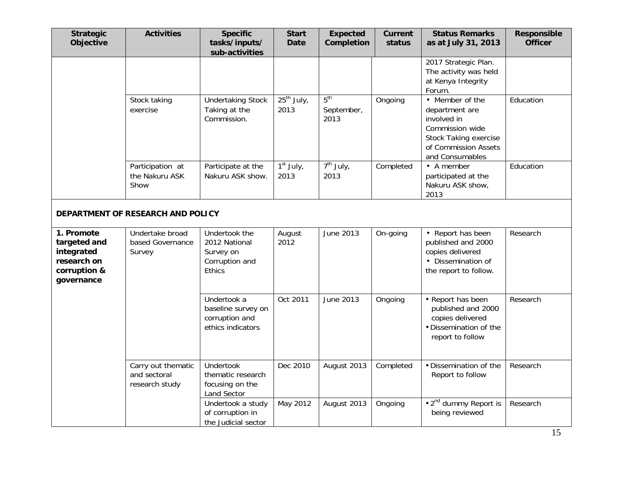| <b>Strategic</b><br>Objective                                                         | <b>Activities</b>                                    | <b>Specific</b><br>tasks/inputs/<br>sub-activities                             | <b>Start</b><br><b>Date</b>       | <b>Expected</b><br>Completion         | <b>Current</b><br>status | <b>Status Remarks</b><br>as at July 31, 2013                                                                                                   | <b>Responsible</b><br><b>Officer</b> |
|---------------------------------------------------------------------------------------|------------------------------------------------------|--------------------------------------------------------------------------------|-----------------------------------|---------------------------------------|--------------------------|------------------------------------------------------------------------------------------------------------------------------------------------|--------------------------------------|
|                                                                                       |                                                      |                                                                                |                                   |                                       |                          | 2017 Strategic Plan.<br>The activity was held<br>at Kenya Integrity<br>Forum.                                                                  |                                      |
|                                                                                       | Stock taking<br>exercise                             | <b>Undertaking Stock</b><br>Taking at the<br>Commission.                       | $25^{th}$ July,<br>2013           | 5 <sup>th</sup><br>September,<br>2013 | Ongoing                  | • Member of the<br>department are<br>involved in<br>Commission wide<br><b>Stock Taking exercise</b><br>of Commission Assets<br>and Consumables | Education                            |
|                                                                                       | Participation at<br>the Nakuru ASK<br>Show           | Participate at the<br>Nakuru ASK show.                                         | $\overline{1^{st}}$ July,<br>2013 | $\overline{7^{th}}$ July,<br>2013     | Completed                | • A member<br>participated at the<br>Nakuru ASK show,<br>2013                                                                                  | Education                            |
|                                                                                       | DEPARTMENT OF RESEARCH AND POLICY                    |                                                                                |                                   |                                       |                          |                                                                                                                                                |                                      |
| 1. Promote<br>targeted and<br>integrated<br>research on<br>corruption &<br>governance | Undertake broad<br>based Governance<br>Survey        | Undertook the<br>2012 National<br>Survey on<br>Corruption and<br><b>Ethics</b> | August<br>2012                    | June 2013                             | On-going                 | • Report has been<br>published and 2000<br>copies delivered<br>• Dissemination of<br>the report to follow.                                     | Research                             |
|                                                                                       |                                                      | Undertook a<br>baseline survey on<br>corruption and<br>ethics indicators       | Oct 2011                          | June 2013                             | Ongoing                  | • Report has been<br>published and 2000<br>copies delivered<br>· Dissemination of the<br>report to follow                                      | Research                             |
|                                                                                       | Carry out thematic<br>and sectoral<br>research study | Undertook<br>thematic research<br>focusing on the<br>Land Sector               | Dec 2010                          | August 2013                           | Completed                | · Dissemination of the<br>Report to follow                                                                                                     | Research                             |
|                                                                                       |                                                      | Undertook a study<br>of corruption in<br>the Judicial sector                   | May 2012                          | August 2013                           | Ongoing                  | • 2 <sup>nd</sup> dummy Report is<br>being reviewed                                                                                            | Research                             |